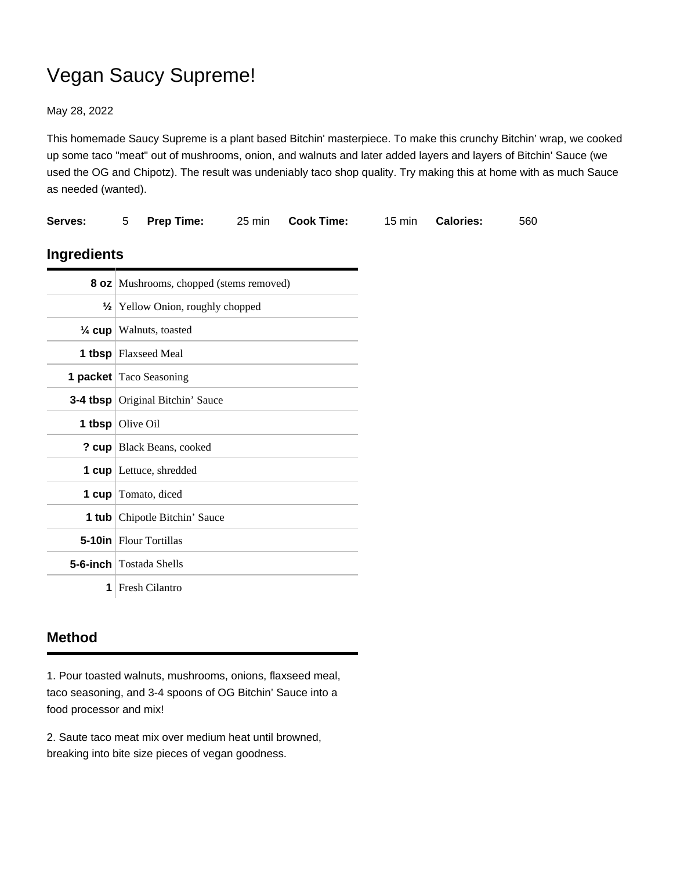## Vegan Saucy Supreme!

May 28, 2022

This homemade Saucy Supreme is a plant based Bitchin' masterpiece. To make this crunchy Bitchin' wrap, we cooked up some taco "meat" out of mushrooms, onion, and walnuts and later added layers and layers of Bitchin' Sauce (we used the OG and Chipotz). The result was undeniably taco shop quality. Try making this at home with as much Sauce as needed (wanted).

| Serves:            | 5                                              | <b>Prep Time:</b>              | 25 min | <b>Cook Time:</b> | 15 min | <b>Calories:</b> | 560 |
|--------------------|------------------------------------------------|--------------------------------|--------|-------------------|--------|------------------|-----|
| <b>Ingredients</b> |                                                |                                |        |                   |        |                  |     |
|                    | <b>8 oz</b> Mushrooms, chopped (stems removed) |                                |        |                   |        |                  |     |
|                    | $\frac{1}{2}$ Yellow Onion, roughly chopped    |                                |        |                   |        |                  |     |
|                    | $\frac{1}{4}$ cup Walnuts, toasted             |                                |        |                   |        |                  |     |
|                    | <b>1 tbsp</b> Flaxseed Meal                    |                                |        |                   |        |                  |     |
|                    | <b>1 packet</b> Taco Seasoning                 |                                |        |                   |        |                  |     |
|                    | 3-4 tbsp   Original Bitchin' Sauce             |                                |        |                   |        |                  |     |
|                    | 1 tbsp $O$ live Oil                            |                                |        |                   |        |                  |     |
|                    | ? cup   Black Beans, cooked                    |                                |        |                   |        |                  |     |
|                    | <b>1 cup</b> Lettuce, shredded                 |                                |        |                   |        |                  |     |
|                    | <b>1 cup</b> Tomato, diced                     |                                |        |                   |        |                  |     |
|                    | <b>1 tub</b> Chipotle Bitchin' Sauce           |                                |        |                   |        |                  |     |
|                    | <b>5-10in</b> Flour Tortillas                  |                                |        |                   |        |                  |     |
|                    |                                                | <b>5-6-inch</b> Tostada Shells |        |                   |        |                  |     |
| 1                  |                                                | Fresh Cilantro                 |        |                   |        |                  |     |

## **Method**

1. Pour toasted walnuts, mushrooms, onions, flaxseed meal, taco seasoning, and 3-4 spoons of OG Bitchin' Sauce into a food processor and mix!

2. Saute taco meat mix over medium heat until browned, breaking into bite size pieces of vegan goodness.